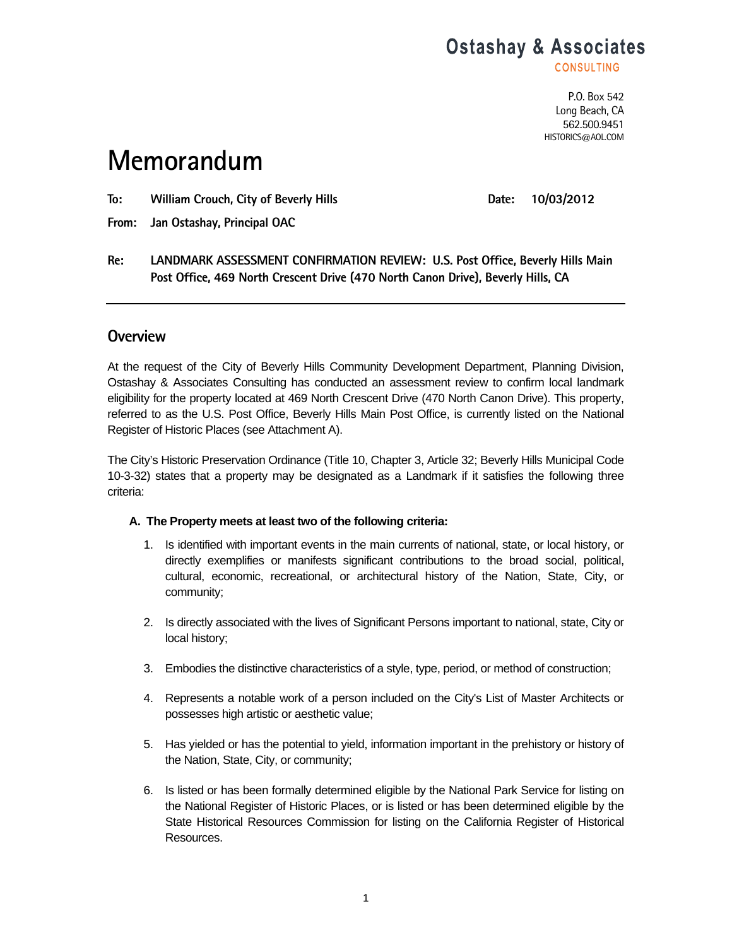## **Ostashay & Associates**

**CONSULTING** 

P.O. Box 542 Long Beach, CA 562.500.9451 HISTORICS@AOL.COM

# **Memorandum**

To: William Crouch, City of Beverly Hills **No. 2018 Date: 10/03/2012** 

**From: Jan Ostashay, Principal OAC** 

**Re: LANDMARK ASSESSMENT CONFIRMATION REVIEW: U.S. Post Office, Beverly Hills Main Post Office, 469 North Crescent Drive (470 North Canon Drive), Beverly Hills, CA** 

### **Overview**

At the request of the City of Beverly Hills Community Development Department, Planning Division, Ostashay & Associates Consulting has conducted an assessment review to confirm local landmark eligibility for the property located at 469 North Crescent Drive (470 North Canon Drive). This property, referred to as the U.S. Post Office, Beverly Hills Main Post Office, is currently listed on the National Register of Historic Places (see Attachment A).

The City's Historic Preservation Ordinance (Title 10, Chapter 3, Article 32; Beverly Hills Municipal Code 10-3-32) states that a property may be designated as a Landmark if it satisfies the following three criteria:

#### **A. The Property meets at least two of the following criteria:**

- 1. Is identified with important events in the main currents of national, state, or local history, or directly exemplifies or manifests significant contributions to the broad social, political, cultural, economic, recreational, or architectural history of the Nation, State, City, or community;
- 2. Is directly associated with the lives of Significant Persons important to national, state, City or local history;
- 3. Embodies the distinctive characteristics of a style, type, period, or method of construction;
- 4. Represents a notable work of a person included on the City's List of Master Architects or possesses high artistic or aesthetic value;
- 5. Has yielded or has the potential to yield, information important in the prehistory or history of the Nation, State, City, or community;
- 6. Is listed or has been formally determined eligible by the National Park Service for listing on the National Register of Historic Places, or is listed or has been determined eligible by the State Historical Resources Commission for listing on the California Register of Historical Resources.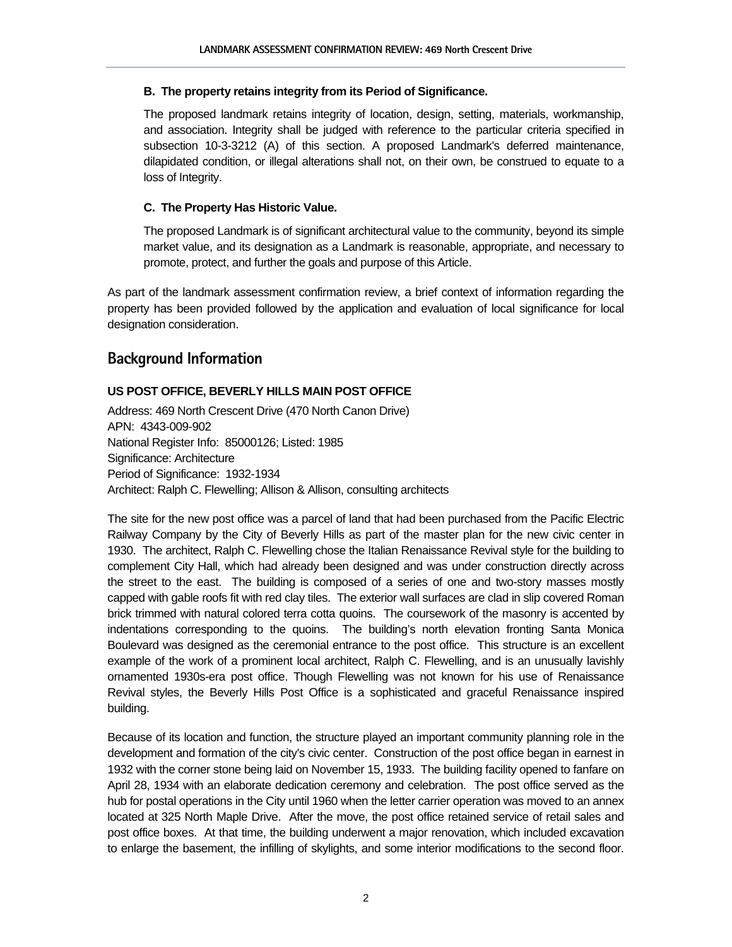#### **B. The property retains integrity from its Period of Significance.**

The proposed landmark retains integrity of location, design, setting, materials, workmanship, and association. Integrity shall be judged with reference to the particular criteria specified in subsection 10-3-3212 (A) of this section. A proposed Landmark's deferred maintenance, dilapidated condition, or illegal alterations shall not, on their own, be construed to equate to a loss of Integrity.

#### **C. The Property Has Historic Value.**

The proposed Landmark is of significant architectural value to the community, beyond its simple market value, and its designation as a Landmark is reasonable, appropriate, and necessary to promote, protect, and further the goals and purpose of this Article.

As part of the landmark assessment confirmation review, a brief context of information regarding the property has been provided followed by the application and evaluation of local significance for local designation consideration.

### **Background Information**

#### **US POST OFFICE, BEVERLY HILLS MAIN POST OFFICE**

Address: 469 North Crescent Drive (470 North Canon Drive) APN: 4343-009-902 National Register Info: 85000126; Listed: 1985 Significance: Architecture Period of Significance: 1932-1934 Architect: Ralph C. Flewelling; Allison & Allison, consulting architects

The site for the new post office was a parcel of land that had been purchased from the Pacific Electric Railway Company by the City of Beverly Hills as part of the master plan for the new civic center in 1930. The architect, Ralph C. Flewelling chose the Italian Renaissance Revival style for the building to complement City Hall, which had already been designed and was under construction directly across the street to the east. The building is composed of a series of one and two-story masses mostly capped with gable roofs fit with red clay tiles. The exterior wall surfaces are clad in slip covered Roman brick trimmed with natural colored terra cotta quoins. The coursework of the masonry is accented by indentations corresponding to the quoins. The building's north elevation fronting Santa Monica Boulevard was designed as the ceremonial entrance to the post office. This structure is an excellent example of the work of a prominent local architect, Ralph C. Flewelling, and is an unusually lavishly ornamented 1930s-era post office. Though Flewelling was not known for his use of Renaissance Revival styles, the Beverly Hills Post Office is a sophisticated and graceful Renaissance inspired building.

Because of its location and function, the structure played an important community planning role in the development and formation of the city's civic center. Construction of the post office began in earnest in 1932 with the corner stone being laid on November 15, 1933. The building facility opened to fanfare on April 28, 1934 with an elaborate dedication ceremony and celebration. The post office served as the hub for postal operations in the City until 1960 when the letter carrier operation was moved to an annex located at 325 North Maple Drive. After the move, the post office retained service of retail sales and post office boxes. At that time, the building underwent a major renovation, which included excavation to enlarge the basement, the infilling of skylights, and some interior modifications to the second floor.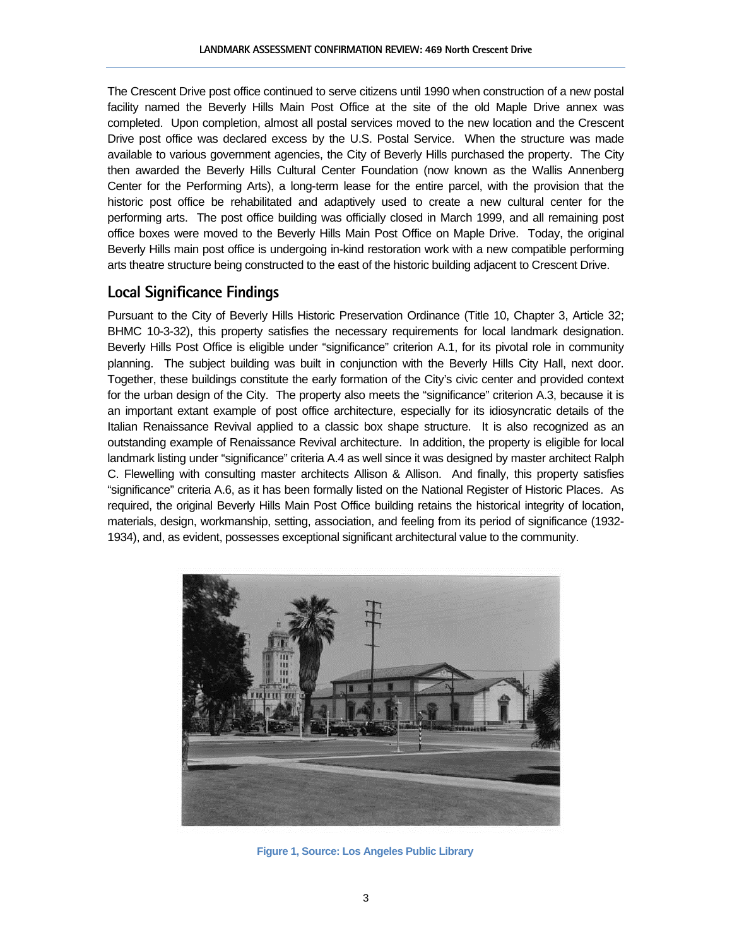The Crescent Drive post office continued to serve citizens until 1990 when construction of a new postal facility named the Beverly Hills Main Post Office at the site of the old Maple Drive annex was completed. Upon completion, almost all postal services moved to the new location and the Crescent Drive post office was declared excess by the U.S. Postal Service. When the structure was made available to various government agencies, the City of Beverly Hills purchased the property. The City then awarded the Beverly Hills Cultural Center Foundation (now known as the Wallis Annenberg Center for the Performing Arts), a long-term lease for the entire parcel, with the provision that the historic post office be rehabilitated and adaptively used to create a new cultural center for the performing arts. The post office building was officially closed in March 1999, and all remaining post office boxes were moved to the Beverly Hills Main Post Office on Maple Drive. Today, the original Beverly Hills main post office is undergoing in-kind restoration work with a new compatible performing arts theatre structure being constructed to the east of the historic building adjacent to Crescent Drive.

### **Local Significance Findings**

Pursuant to the City of Beverly Hills Historic Preservation Ordinance (Title 10, Chapter 3, Article 32; BHMC 10-3-32), this property satisfies the necessary requirements for local landmark designation. Beverly Hills Post Office is eligible under "significance" criterion A.1, for its pivotal role in community planning. The subject building was built in conjunction with the Beverly Hills City Hall, next door. Together, these buildings constitute the early formation of the City's civic center and provided context for the urban design of the City. The property also meets the "significance" criterion A.3, because it is an important extant example of post office architecture, especially for its idiosyncratic details of the Italian Renaissance Revival applied to a classic box shape structure. It is also recognized as an outstanding example of Renaissance Revival architecture. In addition, the property is eligible for local landmark listing under "significance" criteria A.4 as well since it was designed by master architect Ralph C. Flewelling with consulting master architects Allison & Allison. And finally, this property satisfies "significance" criteria A.6, as it has been formally listed on the National Register of Historic Places. As required, the original Beverly Hills Main Post Office building retains the historical integrity of location, materials, design, workmanship, setting, association, and feeling from its period of significance (1932- 1934), and, as evident, possesses exceptional significant architectural value to the community.



 **Figure 1, Source: Los Angeles Public Library**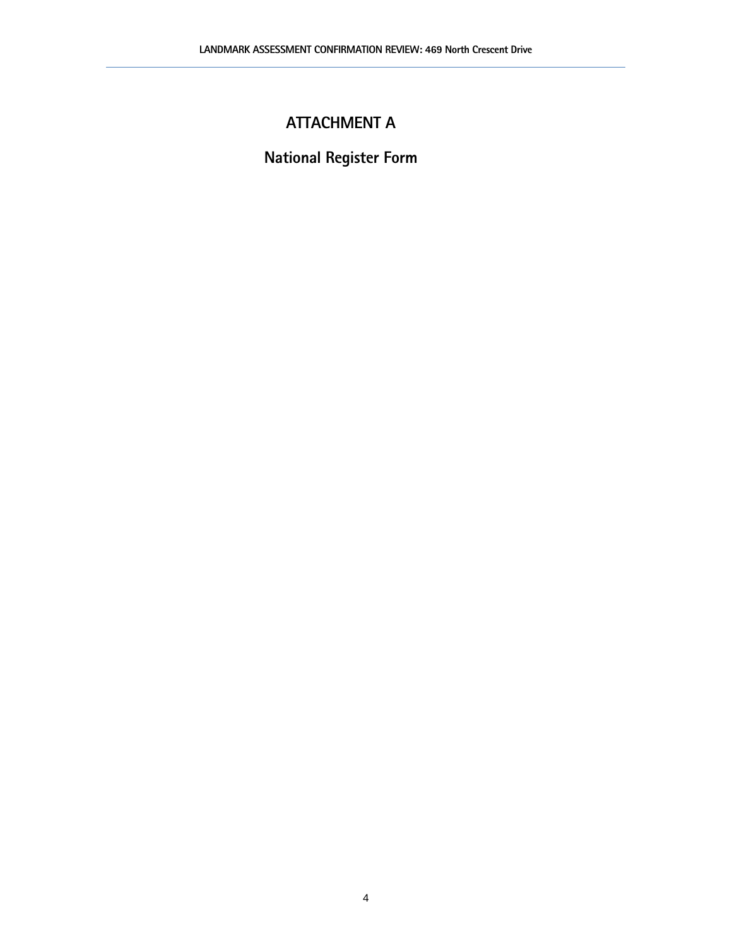## **ATTACHMENT A**

**National Register Form**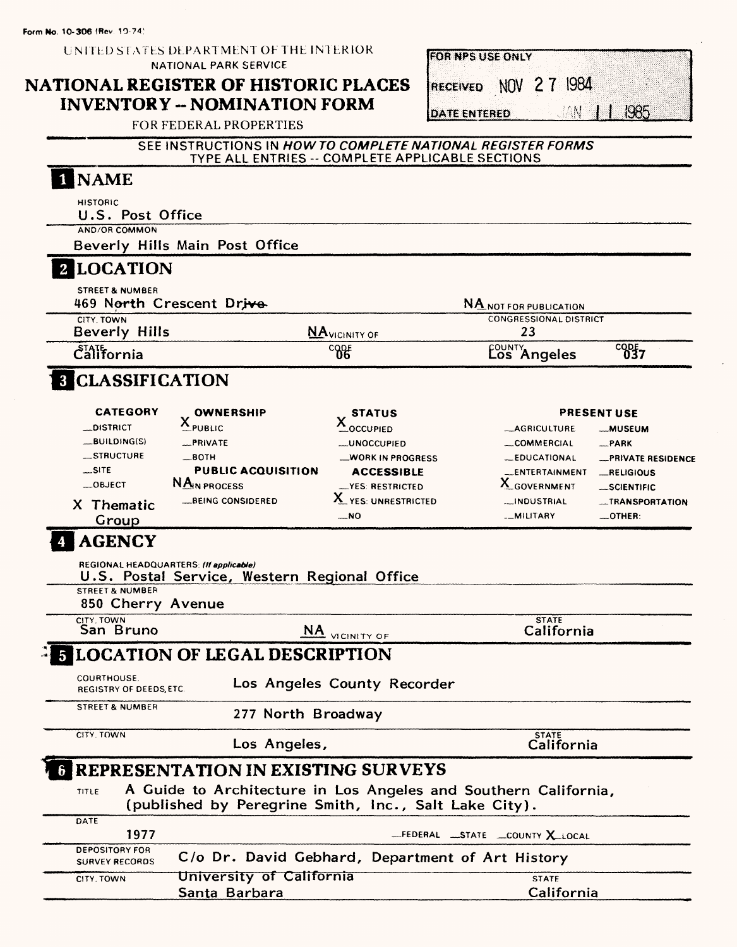Form No. 10-306 (Rev. 10-74)

| UNITED STATES DEPARTMENT OF THE INTERIOR |
|------------------------------------------|
| <b>NATIONAL PARK SERVICE</b>             |

## NATIONAL REGISTER OF HISTORIC PLACES **INVENTORY -- NOMINATION FORM**

|               | FOR NPS USE ONLY      |           |  |  |
|---------------|-----------------------|-----------|--|--|
|               |                       |           |  |  |
|               | RECEIVED NOV 2 7 1984 |           |  |  |
|               |                       |           |  |  |
|               |                       | AN 111985 |  |  |
| DATE ENTERED. |                       |           |  |  |

FOR FEDERAL PROPERTIES

#### SEE INSTRUCTIONS IN HOW TO COMPLETE NATIONAL REGISTER FORMS TYPE ALL ENTRIES -- COMPLETE APPLICABLE SECTIONS

| <b>NAME</b>                                            |                                                       |                                                                 |                                       |
|--------------------------------------------------------|-------------------------------------------------------|-----------------------------------------------------------------|---------------------------------------|
| <b>HISTORIC</b><br>U.S. Post Office                    |                                                       |                                                                 |                                       |
| <b>AND/OR COMMON</b>                                   |                                                       |                                                                 |                                       |
| Beverly Hills Main Post Office                         |                                                       |                                                                 |                                       |
| <b>2 LOCATION</b>                                      |                                                       |                                                                 |                                       |
| <b>STREET &amp; NUMBER</b><br>469 North Crescent Drive |                                                       | <b>NA NOT FOR PUBLICATION</b>                                   |                                       |
| CITY, TOWN<br><b>Beverly Hills</b>                     |                                                       | <b>CONGRESSIONAL DISTRICT</b><br>23                             |                                       |
| $\mathring{\mathsf{C}}$ alifornia                      | <b>NA</b> VICINITY OF<br>$^{c}$ $^{06}$               | <b>COUNTY</b><br>Los Angeles                                    | $^{c_0b}57$                           |
| <b>8 CLASSIFICATION</b>                                |                                                       |                                                                 |                                       |
| <b>CATEGORY</b>                                        |                                                       |                                                                 |                                       |
| <b>OWNERSHIP</b><br>$X_{\text{pUBLIC}}$<br>_DISTRICT   | <b>STATUS</b><br>$\underline{x}_{\text{occupieD}}$    | <b>_AGRICULTURE</b>                                             | <b>PRESENT USE</b><br><b>__MUSEUM</b> |
| $-BULDING(S)$<br>_PRIVATE                              | <b>__UNOCCUPIED</b>                                   | <b>__COMMERCIAL</b>                                             | $R$ PARK                              |
| STRUCTURE<br>$\_$ BOTH                                 | <b>WORK IN PROGRESS</b>                               | <b>LEDUCATIONAL</b>                                             | -PRIVATE RESIDENCE                    |
| $\equiv$ SITE                                          | <b>PUBLIC ACQUISITION</b><br><b>ACCESSIBLE</b>        | _ENTERTAINMENT                                                  | _RELIGIOUS                            |
| NA <sub>IN</sub> PROCESS<br>$-$ OBJECT                 | -YES: RESTRICTED                                      | X_GOVERNMENT                                                    | __SCIENTIFIC                          |
| <b>LBEING CONSIDERED</b><br>X Thematic                 | X YES: UNRESTRICTED                                   | INDUSTRIAL                                                      | <b>_TRANSPORTATION</b>                |
| Group                                                  | __NO                                                  | __MILITARY                                                      | $\_$ OTHER:                           |
| <b>STREET &amp; NUMBER</b><br>850 Cherry Avenue        | U.S. Postal Service, Western Regional Office          |                                                                 |                                       |
| CITY. TOWN                                             |                                                       | <b>STATE</b>                                                    |                                       |
| San Bruno                                              | <b>NA</b> VICINITY OF                                 | California                                                      |                                       |
| <b>LOCATION OF LEGAL DESCRIPTION</b>                   |                                                       |                                                                 |                                       |
| COURTHOUSE.<br>REGISTRY OF DEEDS, ETC.                 | Los Angeles County Recorder                           |                                                                 |                                       |
| <b>STREET &amp; NUMBER</b>                             | 277 North Broadway                                    |                                                                 |                                       |
| CITY. TOWN                                             | Los Angeles,                                          | <b>STATE</b><br>California                                      |                                       |
|                                                        | REPRESENTATION IN EXISTING SURVEYS                    |                                                                 |                                       |
| <b>TITLE</b>                                           | (published by Peregrine Smith, Inc., Salt Lake City). | A Guide to Architecture in Los Angeles and Southern California, |                                       |
| DATE<br>1977                                           |                                                       | -FEDERAL STATE COUNTY X LOCAL                                   |                                       |
| <b>DEPOSITORY FOR</b><br><b>SURVEY RECORDS</b>         | C/o Dr. David Gebhard, Department of Art History      |                                                                 |                                       |
| CITY. TOWN                                             | University of California                              | <b>STATE</b>                                                    |                                       |
| Santa Barbara                                          |                                                       | California                                                      |                                       |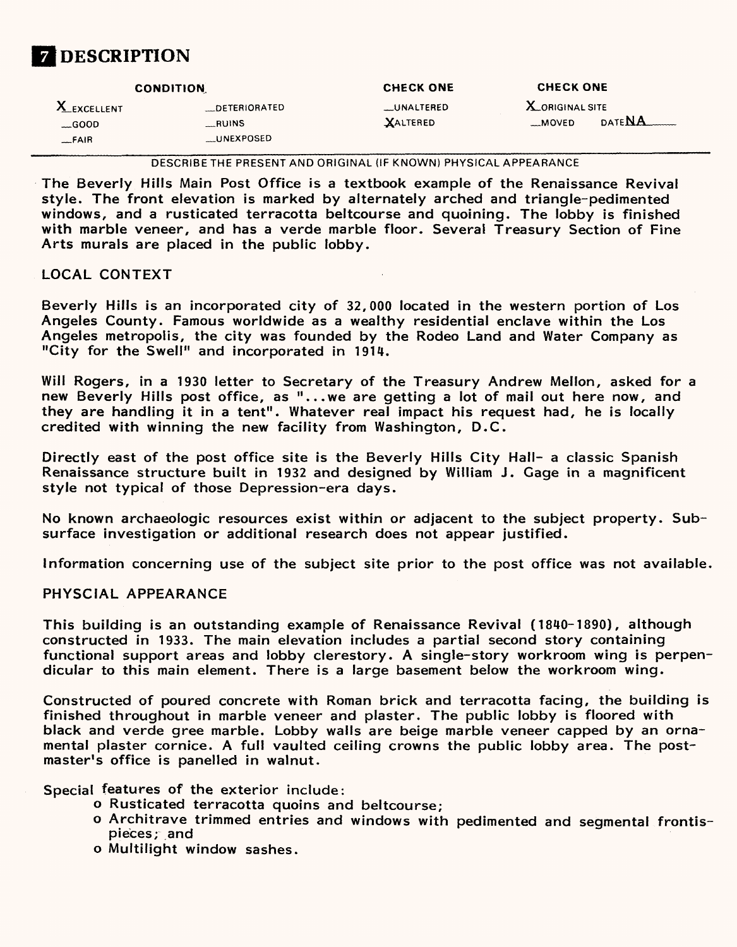

| X_EXCELLENT<br><b>X_ORIGINAL SITE</b><br>__UNALTERED<br>DETERIORATED<br>date NA<br>$-MOVED$<br>XALTERED<br>__RUINS<br>$$ GOOD<br><b>UNEXPOSED</b><br>$-FAIR$ | <b>CONDITION</b> | <b>CHECK ONE</b> | <b>CHECK ONE</b> |  |
|--------------------------------------------------------------------------------------------------------------------------------------------------------------|------------------|------------------|------------------|--|
|                                                                                                                                                              |                  |                  |                  |  |

DESCRIBE THE PRESENT AND ORIGINAL (IF KNOWN) PHYSICAL APPEARANCE

The Beverly Hills Main Post Office is a textbook example of the Renaissance Revival style. The front elevation is marked by alternately arched and triangle-pedimented windows, and a rusticated terracotta beltcourse and quoining. The lobby is finished with marble veneer, and has a verde marble floor. Several Treasury Section of Fine Arts murals are placed in the public lobby.

#### LOCAL CONTEXT

Beverly Hills is an incorporated city of 32,000 located in the western portion of Los Angeles County. Famous worldwide as a wealthy residential enclave within the Los Angeles metropolis, the city was founded by the Rodeo Land and Water Company as "City for the Swell" and incorporated in 1914.

Will Rogers, in a 1930 letter to Secretary of the Treasury Andrew Mellon, asked for a new Beverly Hills post office, as "...we are getting a lot of mail out here now, and they are handling it in a tent". Whatever real impact his request had, he is locally credited with winning the new facility from Washington, D.C.

Directly east of the post office site is the Beverly Hills City Hall- a classic Spanish Renaissance structure built in 1932 and designed by William J. Gage in a magnificent style not typical of those Depression-era days.

No known archaeologic resources exist within or adjacent to the subject property. Subsurface investigation or additional research does not appear justified.

Information concerning use of the subject site prior to the post office was not available.

#### PHYSCIAL APPEARANCE

This building is an outstanding example of Renaissance Revival (1840-1890), although constructed in 1933. The main elevation includes a partial second story containing functional support areas and lobby clerestory. A single-story workroom wing is perpendicular to this main element. There is a large basement below the workroom wing.

Constructed of poured concrete with Roman brick and terracotta facing, the building is finished throughout in marble veneer and plaster. The public lobby is floored with black and verde gree marble. Lobby walls are beige marble veneer capped by an ornamental plaster cornice. A full vaulted ceiling crowns the public lobby area. The postmaster's office is panelled in walnut.

Special features of the exterior include:

- o Rusticated terracotta quoins and beltcourse;
- o Architrave trimmed entries and windows with pedimented and segmental frontispieces; and
- o Multiiight window sashes.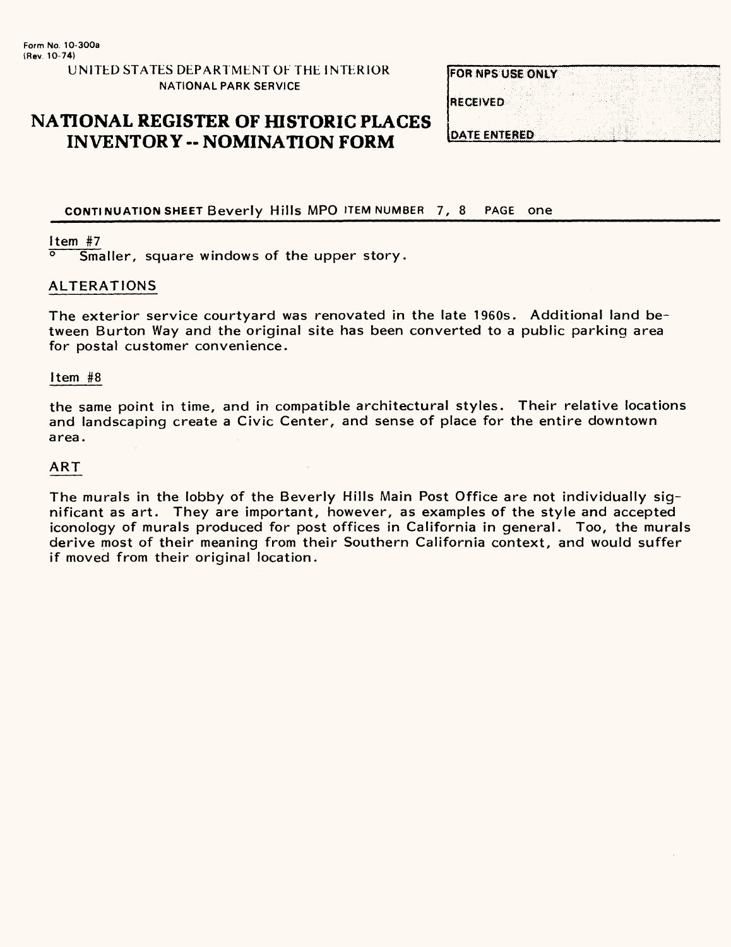#### UNITED STATES DEPARTMENT OF THE INTERIOR NATIONAL PARK SERVICE

## **NATIONAL REGISTER OF HISTORIC PLACES INVENTORY -- NOMINATION FORM**

|                 | FOR NPS USE ONLY    |  |  |  |  |  |
|-----------------|---------------------|--|--|--|--|--|
| <b>RECEIVED</b> |                     |  |  |  |  |  |
|                 |                     |  |  |  |  |  |
|                 | <b>DATE ENTERED</b> |  |  |  |  |  |

CONTINUATION SHEET Beverly Hills MPO ITEM NUMBER 7, 8 PAGE one

## $\frac{1 \text{ tem}}{8}$   $\frac{#7}{8}$

Smaller, square windows of the upper story.

#### ALTERATIONS

The exterior service courtyard was renovated in the late 1960s. Additional land between Burton Way and the original site has been converted to a public parking area for postal customer convenience.

#### Item #8

the same point in time, and in compatible architectural styles. Their relative locations and landscaping create a Civic Center, and sense of place for the entire downtown area.

#### ART

The murals in the lobby of the Beverly Hills Main Post Office are not individually significant as art. They are important, however, as examples of the style and accepted iconology of murals produced for post offices in California in general. Too, the murals derive most of their meaning from their Southern California context, and would suffer if moved from their original location.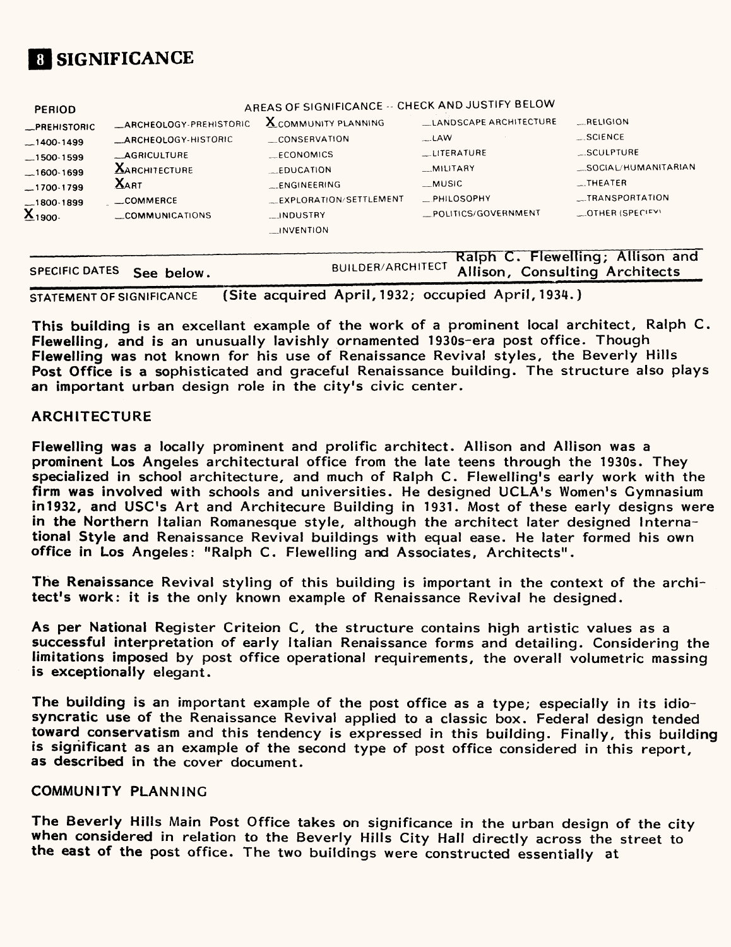

| <b>PERIOD</b>         |                            | AREAS OF SIGNIFICANCE -- CHECK AND JUSTIFY BELOW |                        |                                  |
|-----------------------|----------------------------|--------------------------------------------------|------------------------|----------------------------------|
| <b>_PREHISTORIC</b>   | _ARCHEOLOGY-PREHISTORIC    | <b>X</b> COMMUNITY PLANNING                      | LANDSCAPE ARCHITECTURE | <b>RELIGION</b>                  |
| $-1400-1499$          | <b>ARCHEOLOGY-HISTORIC</b> | CONSERVATION                                     | $\mathsf{LAW}$         | <b>SCIENCE</b>                   |
| $-1500 - 1599$        | <b>AGRICULTURE</b>         | ECONOMICS                                        | LITERATURE             | SCULPTURE                        |
| $-1600 - 1699$        | <b>XARCHITECTURE</b>       | <b>FDUCATION</b>                                 | MILITARY               | SOCIAL/HUMANITARIAN              |
| $-1700-1799$          | <b>XART</b>                | ENGINEERING                                      | MUSIC                  | $$ THEATER                       |
| _1800-1899            | __COMMERCE                 | EXPLORATION/SETTLEMENT                           | PHILOSOPHY             | __TRANSPORTATION                 |
| $\mathbf{X}_{1900}$ . | COMMUNICATIONS             | INDUSTRY                                         | POLITICS/GOVERNMENT    | OTHER (SPECIFY)                  |
|                       |                            | __INVENTION                                      |                        |                                  |
|                       |                            |                                                  |                        |                                  |
|                       |                            |                                                  |                        | Ralph C. Flewelling; Allison and |

|                           |                                                  | Raiph C. Fleweiling; Allison and |
|---------------------------|--------------------------------------------------|----------------------------------|
| SPECIFIC DATES See below. | BUILDER/ARCHITECT Allison, Consulting Architects |                                  |
|                           |                                                  |                                  |

STATEMENT OF SIGNIFICANCE (Site acquired April, 1932; occupied April, 1934.)

This building is an excellant example of the work of a prominent local architect, Ralph C. Flewelling, and is an unusually lavishly ornamented 1930s-era post office. Though Flewelling was not known for his use of Renaissance Revival styles, the Beverly Hills Post Office is a sophisticated and graceful Renaissance building. The structure also plays an important urban design role in the city's civic center.

#### **ARCHITECTURE**

Flewelling was a locally prominent and prolific architect. Aliison and Allison was a prominent Los Angeles architectural office from the late teens through the 1930s. They specialized in school architecture, and much of Ralph C. Flewelling's early work with the firm was involved with schools and universities. He designed UCLA's Women's Gymnasium in1932, and USC's Art and Architecure Building in 1931. Most of these early designs were in the Northern Italian Romanesque style, although the architect later designed International Style and Renaissance Revival buildings with equal ease. He later formed his own office in Los Angeles: "Ralph C. Flewelling and Associates, Architects".

The Renaissance Revival styling of this building is important in the context of the architect's work: it is the only known example of Renaissance Revival he designed.

As per National Register Criteion C, the structure contains high artistic values as a successful interpretation of early Italian Renaissance forms and detailing. Considering the limitations imposed by post office operational requirements, the overall volumetric massing is exceptionally elegant.

The building is an important example of the post office as a type; especially in its idiosyncratic use of the Renaissance Revival applied to a classic box. Federal design tended toward conservatism and this tendency is expressed in this building. Finally, this building is significant as an example of the second type of post office considered in this report, as described in the cover document.

#### COMMUNITY PLANNING

The Beverly Hills Main Post Office takes on significance in the urban design of the city when considered in relation to the Beverly Hills City Hall directly across the street to the east of the post office. The two buildings were constructed essentially at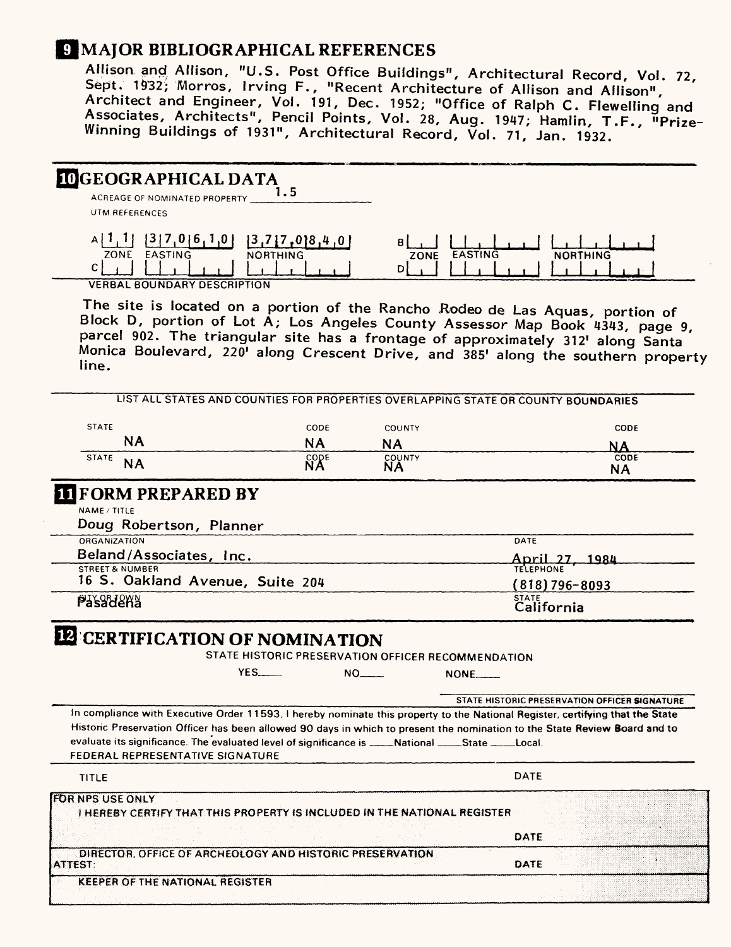## **C MAJOR BIBLIOGRAPHICAL REFERENCES**

Allison and Allison, "U.S. Post Office Buildings", Architectural Record, Vol. 72, Sept. 1932; Morros, Irving F., "Recent Architecture of Allison and Allison", Architect and Engineer, Vol. 191, Dec. 1952; "Office of Ralph C. Flewelling and Associates, Architects", Pencil Points, Vol. 28, Aug. 1947; Hamlin, T.F., "Prize-Winning Buildings of 1931", Architectural Record, Vol. 71, Jan. 1932.

# **LOGEOGRAPHICAL DATA**

ACREAGE OF NOMINATED PROPERTY UTM REFERENCES

|      |                             | .               |        |                     |                 |
|------|-----------------------------|-----------------|--------|---------------------|-----------------|
| ZONE | EASTING                     | <b>NORTHING</b> | ZONE   | <b>STING</b><br>545 | <b>NORTHING</b> |
|      |                             |                 | $\sim$ |                     |                 |
|      | VEDDAL ROUNDARY DECORDITION |                 |        |                     |                 |

VERBAL BOUNDARY DESCRIPTION

The site is located on a portion of the Rancho Rodeo de Las Aquas, portion of Block D, portion of Lot A; Los Angeles County Assessor Map Book 4343, page 9, parcel 902. The triangular site has a frontage of approximately 312' along Santa Monica Boulevard, 220' along Crescent Drive, and 385' along the southern property line.

| <b>STATE</b>               |                                                                                                                                         | CODE        | COUNTY                                             | CODE                                                                                                                          |
|----------------------------|-----------------------------------------------------------------------------------------------------------------------------------------|-------------|----------------------------------------------------|-------------------------------------------------------------------------------------------------------------------------------|
| <b>NA</b>                  |                                                                                                                                         | <b>NA</b>   | <b>NA</b>                                          | ΝA                                                                                                                            |
| <b>STATE</b><br><b>NA</b>  |                                                                                                                                         | <b>CODE</b> | COUNTY<br>ΝA                                       | CODE<br><b>NA</b>                                                                                                             |
|                            | <b>IT FORM PREPARED BY</b>                                                                                                              |             |                                                    |                                                                                                                               |
| NAME / TITLE               |                                                                                                                                         |             |                                                    |                                                                                                                               |
|                            | Doug Robertson, Planner                                                                                                                 |             |                                                    |                                                                                                                               |
| ORGANIZATION               |                                                                                                                                         |             |                                                    | DATE                                                                                                                          |
|                            | Beland/Associates, Inc.                                                                                                                 |             |                                                    | April 27, 1984                                                                                                                |
| <b>STREET &amp; NUMBER</b> | 16 S. Oakland Avenue, Suite 204                                                                                                         |             |                                                    | <b>TELEPHONE</b>                                                                                                              |
|                            |                                                                                                                                         |             |                                                    | $(818)796 - 8093$                                                                                                             |
| <b>Pasadena</b>            |                                                                                                                                         |             |                                                    | STATE<br>California                                                                                                           |
|                            | <b>IZ CERTIFICATION OF NOMINATION</b>                                                                                                   |             | STATE HISTORIC PRESERVATION OFFICER RECOMMENDATION |                                                                                                                               |
|                            | $YES$ <sub>___</sub>                                                                                                                    |             | $NO_{\text{max}}$                                  | $NOTE$                                                                                                                        |
|                            |                                                                                                                                         |             |                                                    | STATE HISTORIC PRESERVATION OFFICER SIGNATURE                                                                                 |
|                            |                                                                                                                                         |             |                                                    | In compliance with Executive Order 11593, I hereby nominate this property to the National Register, certifying that the State |
|                            |                                                                                                                                         |             |                                                    | Historic Preservation Officer has been allowed 90 days in which to present the nomination to the State Review Board and to    |
|                            | evaluate its significance. The evaluated level of significance is ____National ____State ____Local.<br>FEDERAL REPRESENTATIVE SIGNATURE |             |                                                    |                                                                                                                               |
| TITLE                      |                                                                                                                                         |             |                                                    | <b>DATE</b>                                                                                                                   |
| <b>FOR NPS USE ONLY</b>    |                                                                                                                                         |             |                                                    |                                                                                                                               |
|                            | <b>I HEREBY CERTIFY THAT THIS PROPERTY IS INCLUDED IN THE NATIONAL REGISTER</b>                                                         |             |                                                    |                                                                                                                               |
|                            |                                                                                                                                         |             |                                                    |                                                                                                                               |
|                            | DIRECTOR, OFFICE OF ARCHEOLOGY AND HISTORIC PRESERVATION                                                                                |             |                                                    | DATE                                                                                                                          |